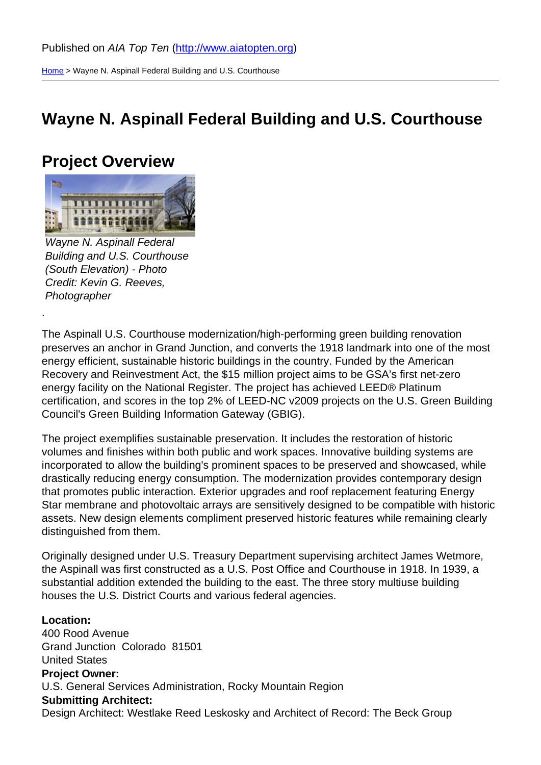Home > Wayne N. Aspinall Federal Building and U.S. Courthouse

#### [Wa](http://www.aiatopten.org/)yne N. Aspinall Federal Building and U.S. Courthouse

#### Project Overview

Wayne N. Aspinall Federal Building and U.S. Courthouse (South Elevation) - Photo Credit: Kevin G. Reeves, Photographer

.

The Aspinall U.S. Courthouse modernization/high-performing green building renovation preserves an anchor in Grand Junction, and converts the 1918 landmark into one of the most energy efficient, sustainable historic buildings in the country. Funded by the American Recovery and Reinvestment Act, the \$15 million project aims to be GSA's first net-zero energy facility on the National Register. The project has achieved LEED® Platinum certification, and scores in the top 2% of LEED-NC v2009 projects on the U.S. Green Building Council's Green Building Information Gateway (GBIG).

The project exemplifies sustainable preservation. It includes the restoration of historic volumes and finishes within both public and work spaces. Innovative building systems are incorporated to allow the building's prominent spaces to be preserved and showcased, while drastically reducing energy consumption. The modernization provides contemporary design that promotes public interaction. Exterior upgrades and roof replacement featuring Energy Star membrane and photovoltaic arrays are sensitively designed to be compatible with historic assets. New design elements compliment preserved historic features while remaining clearly distinguished from them.

Originally designed under U.S. Treasury Department supervising architect James Wetmore, the Aspinall was first constructed as a U.S. Post Office and Courthouse in 1918. In 1939, a substantial addition extended the building to the east. The three story multiuse building houses the U.S. District Courts and various federal agencies.

Location: 400 Rood Avenue Grand Junction Colorado 81501 United States Project Owner: U.S. General Services Administration, Rocky Mountain Region Submitting Architect: Design Architect: Westlake Reed Leskosky and Architect of Record: The Beck Group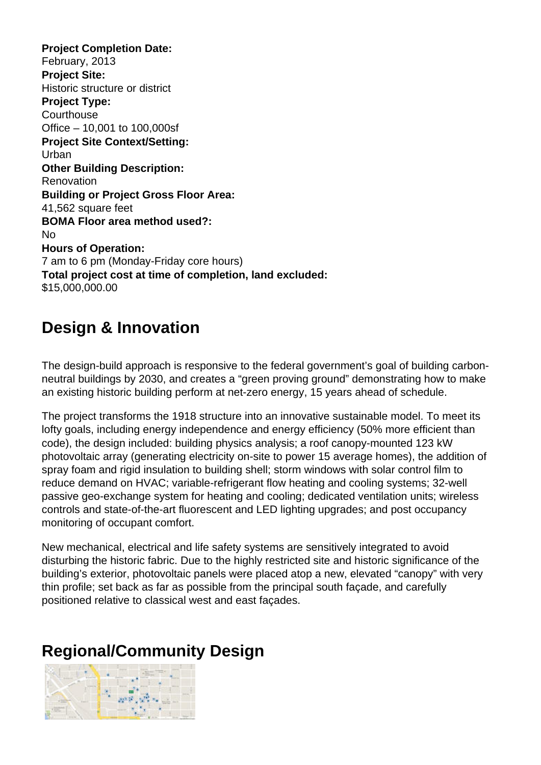**Project Completion Date:**  February, 2013 **Project Site:**  Historic structure or district **Project Type: Courthouse** Office – 10,001 to 100,000sf **Project Site Context/Setting:**  Urban **Other Building Description:**  Renovation **Building or Project Gross Floor Area:**  41,562 square feet **BOMA Floor area method used?:**  No **Hours of Operation:**  7 am to 6 pm (Monday-Friday core hours) **Total project cost at time of completion, land excluded:**  \$15,000,000.00

### **Design & Innovation**

The design-build approach is responsive to the federal government's goal of building carbonneutral buildings by 2030, and creates a "green proving ground" demonstrating how to make an existing historic building perform at net-zero energy, 15 years ahead of schedule.

The project transforms the 1918 structure into an innovative sustainable model. To meet its lofty goals, including energy independence and energy efficiency (50% more efficient than code), the design included: building physics analysis; a roof canopy-mounted 123 kW photovoltaic array (generating electricity on-site to power 15 average homes), the addition of spray foam and rigid insulation to building shell; storm windows with solar control film to reduce demand on HVAC; variable-refrigerant flow heating and cooling systems; 32-well passive geo-exchange system for heating and cooling; dedicated ventilation units; wireless controls and state-of-the-art fluorescent and LED lighting upgrades; and post occupancy monitoring of occupant comfort.

New mechanical, electrical and life safety systems are sensitively integrated to avoid disturbing the historic fabric. Due to the highly restricted site and historic significance of the building's exterior, photovoltaic panels were placed atop a new, elevated "canopy" with very thin profile; set back as far as possible from the principal south façade, and carefully positioned relative to classical west and east façades.

# **Regional/Community Design**

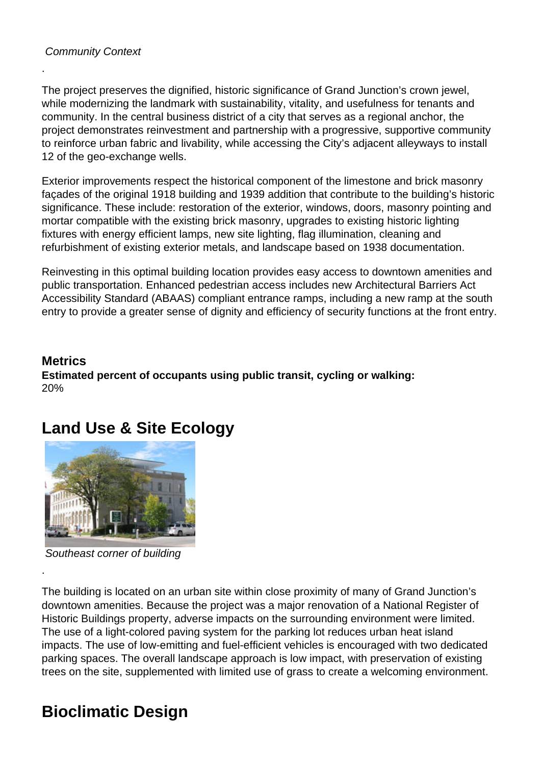#### Community Context

.

The project preserves the dignified, historic significance of Grand Junction's crown jewel, while modernizing the landmark with sustainability, vitality, and usefulness for tenants and community. In the central business district of a city that serves as a regional anchor, the project demonstrates reinvestment and partnership with a progressive, supportive community to reinforce urban fabric and livability, while accessing the City's adjacent alleyways to install 12 of the geo-exchange wells.

Exterior improvements respect the historical component of the limestone and brick masonry façades of the original 1918 building and 1939 addition that contribute to the building's historic significance. These include: restoration of the exterior, windows, doors, masonry pointing and mortar compatible with the existing brick masonry, upgrades to existing historic lighting fixtures with energy efficient lamps, new site lighting, flag illumination, cleaning and refurbishment of existing exterior metals, and landscape based on 1938 documentation.

Reinvesting in this optimal building location provides easy access to downtown amenities and public transportation. Enhanced pedestrian access includes new Architectural Barriers Act Accessibility Standard (ABAAS) compliant entrance ramps, including a new ramp at the south entry to provide a greater sense of dignity and efficiency of security functions at the front entry.

#### **Metrics Estimated percent of occupants using public transit, cycling or walking:**  20%

# **Land Use & Site Ecology**



Southeast corner of building

.

The building is located on an urban site within close proximity of many of Grand Junction's downtown amenities. Because the project was a major renovation of a National Register of Historic Buildings property, adverse impacts on the surrounding environment were limited. The use of a light-colored paving system for the parking lot reduces urban heat island impacts. The use of low-emitting and fuel-efficient vehicles is encouraged with two dedicated parking spaces. The overall landscape approach is low impact, with preservation of existing trees on the site, supplemented with limited use of grass to create a welcoming environment.

# **Bioclimatic Design**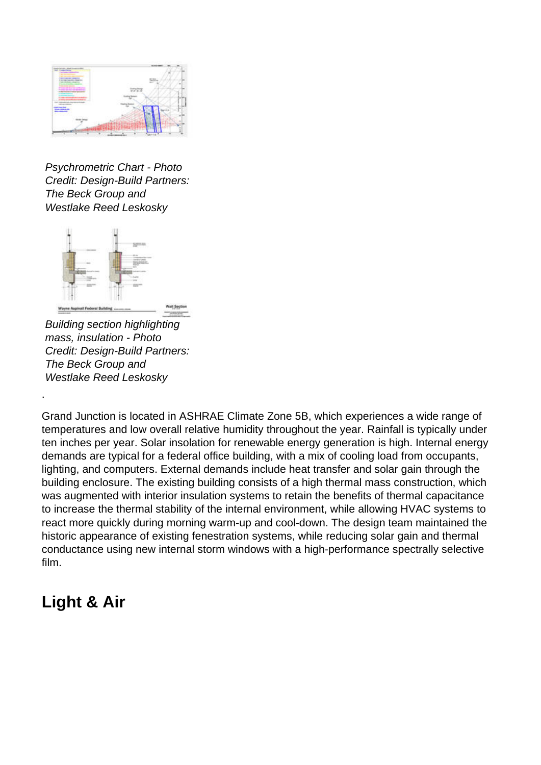

Psychrometric Chart - Photo Credit: Design-Build Partners: The Beck Group and Westlake Reed Leskosky



Building section highlighting mass, insulation - Photo Credit: Design-Build Partners: The Beck Group and Westlake Reed Leskosky

Grand Junction is located in ASHRAE Climate Zone 5B, which experiences a wide range of temperatures and low overall relative humidity throughout the year. Rainfall is typically under ten inches per year. Solar insolation for renewable energy generation is high. Internal energy demands are typical for a federal office building, with a mix of cooling load from occupants, lighting, and computers. External demands include heat transfer and solar gain through the building enclosure. The existing building consists of a high thermal mass construction, which was augmented with interior insulation systems to retain the benefits of thermal capacitance to increase the thermal stability of the internal environment, while allowing HVAC systems to react more quickly during morning warm-up and cool-down. The design team maintained the historic appearance of existing fenestration systems, while reducing solar gain and thermal conductance using new internal storm windows with a high-performance spectrally selective film.

#### **Light & Air**

.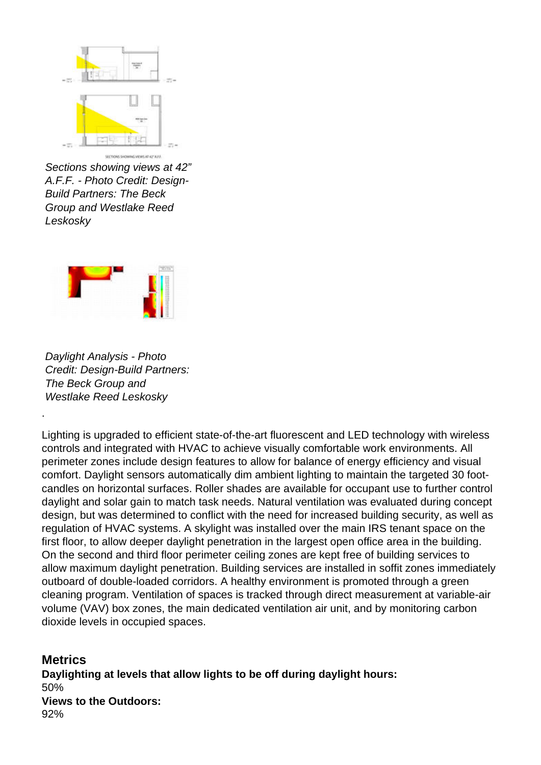

Sections showing views at 42" A.F.F. - Photo Credit: Design-Build Partners: The Beck Group and Westlake Reed Leskosky



Daylight Analysis - Photo Credit: Design-Build Partners: The Beck Group and Westlake Reed Leskosky

Lighting is upgraded to efficient state-of-the-art fluorescent and LED technology with wireless controls and integrated with HVAC to achieve visually comfortable work environments. All perimeter zones include design features to allow for balance of energy efficiency and visual comfort. Daylight sensors automatically dim ambient lighting to maintain the targeted 30 footcandles on horizontal surfaces. Roller shades are available for occupant use to further control daylight and solar gain to match task needs. Natural ventilation was evaluated during concept design, but was determined to conflict with the need for increased building security, as well as regulation of HVAC systems. A skylight was installed over the main IRS tenant space on the first floor, to allow deeper daylight penetration in the largest open office area in the building. On the second and third floor perimeter ceiling zones are kept free of building services to allow maximum daylight penetration. Building services are installed in soffit zones immediately outboard of double-loaded corridors. A healthy environment is promoted through a green cleaning program. Ventilation of spaces is tracked through direct measurement at variable-air volume (VAV) box zones, the main dedicated ventilation air unit, and by monitoring carbon dioxide levels in occupied spaces.

#### **Metrics**

.

**Daylighting at levels that allow lights to be off during daylight hours:**  50% **Views to the Outdoors:**  92%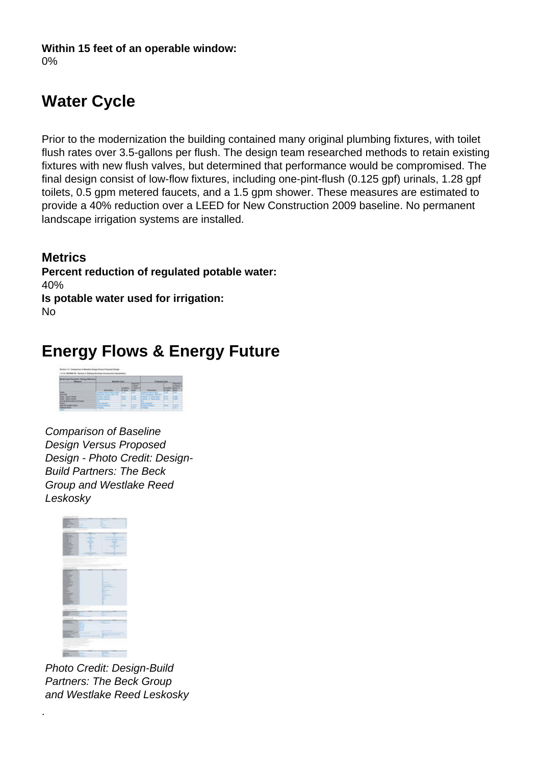#### **Within 15 feet of an operable window:**

0%

# **Water Cycle**

Prior to the modernization the building contained many original plumbing fixtures, with toilet flush rates over 3.5-gallons per flush. The design team researched methods to retain existing fixtures with new flush valves, but determined that performance would be compromised. The final design consist of low-flow fixtures, including one-pint-flush (0.125 gpf) urinals, 1.28 gpf toilets, 0.5 gpm metered faucets, and a 1.5 gpm shower. These measures are estimated to provide a 40% reduction over a LEED for New Construction 2009 baseline. No permanent landscape irrigation systems are installed.

**Metrics Percent reduction of regulated potable water:**  40% **Is potable water used for irrigation:**  No

### **Energy Flows & Energy Future**



Comparison of Baseline Design Versus Proposed Design - Photo Credit: Design-Build Partners: The Beck Group and Westlake Reed Leskosky



.

Photo Credit: Design-Build Partners: The Beck Group and Westlake Reed Leskosky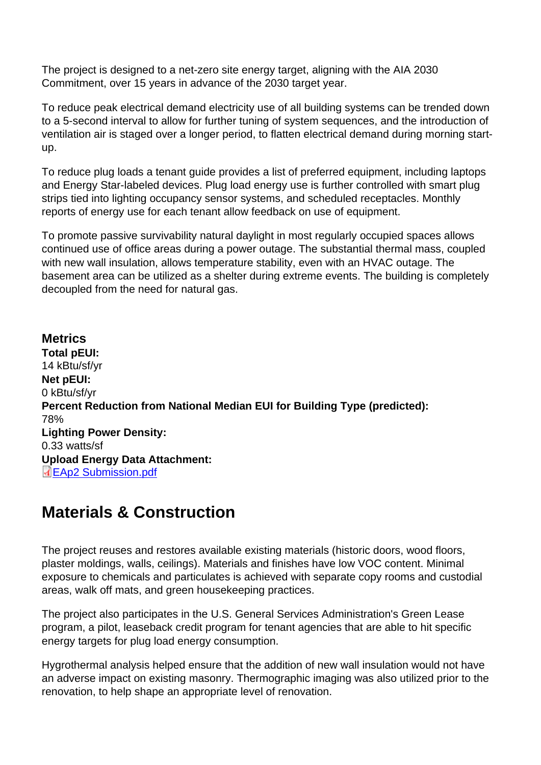The project is designed to a net-zero site energy target, aligning with the AIA 2030 Commitment, over 15 years in advance of the 2030 target year.

To reduce peak electrical demand electricity use of all building systems can be trended down to a 5-second interval to allow for further tuning of system sequences, and the introduction of ventilation air is staged over a longer period, to flatten electrical demand during morning startup.

To reduce plug loads a tenant guide provides a list of preferred equipment, including laptops and Energy Star-labeled devices. Plug load energy use is further controlled with smart plug strips tied into lighting occupancy sensor systems, and scheduled receptacles. Monthly reports of energy use for each tenant allow feedback on use of equipment.

To promote passive survivability natural daylight in most regularly occupied spaces allows continued use of office areas during a power outage. The substantial thermal mass, coupled with new wall insulation, allows temperature stability, even with an HVAC outage. The basement area can be utilized as a shelter during extreme events. The building is completely decoupled from the need for natural gas.

**Metrics** Total pEUI: 14 kBtu/sf/yr Net pEUI: 0 kBtu/sf/yr Percent Reduction from National Median EUI for Building Type (predicted): 78% Lighting Power Density: 0.33 watts/sf Upload Energy Data Attachment: EAp2 Submission.pdf

#### [Materials & Con](http://www.aiatopten.org/sites/default/files/EAp2 Submission.pdf)struction

The project reuses and restores available existing materials (historic doors, wood floors, plaster moldings, walls, ceilings). Materials and finishes have low VOC content. Minimal exposure to chemicals and particulates is achieved with separate copy rooms and custodial areas, walk off mats, and green housekeeping practices.

The project also participates in the U.S. General Services Administration's Green Lease program, a pilot, leaseback credit program for tenant agencies that are able to hit specific energy targets for plug load energy consumption.

Hygrothermal analysis helped ensure that the addition of new wall insulation would not have an adverse impact on existing masonry. Thermographic imaging was also utilized prior to the renovation, to help shape an appropriate level of renovation.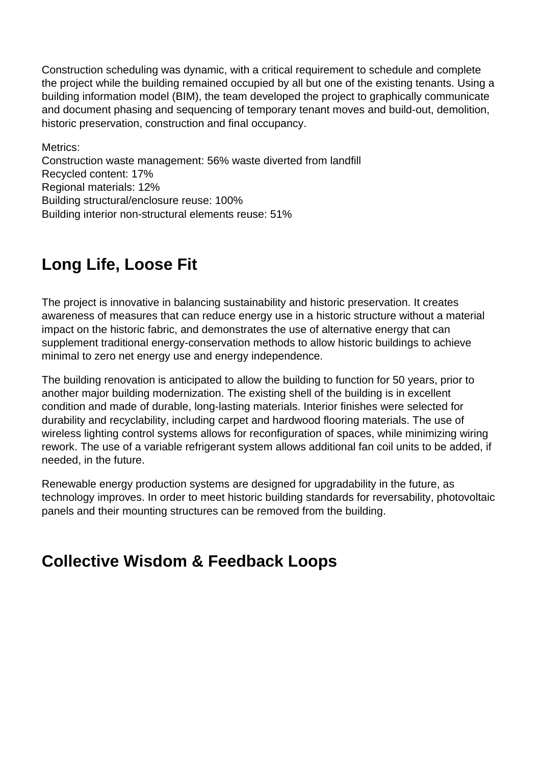Construction scheduling was dynamic, with a critical requirement to schedule and complete the project while the building remained occupied by all but one of the existing tenants. Using a building information model (BIM), the team developed the project to graphically communicate and document phasing and sequencing of temporary tenant moves and build-out, demolition, historic preservation, construction and final occupancy.

Metrics: Construction waste management: 56% waste diverted from landfill Recycled content: 17% Regional materials: 12% Building structural/enclosure reuse: 100% Building interior non-structural elements reuse: 51%

### **Long Life, Loose Fit**

The project is innovative in balancing sustainability and historic preservation. It creates awareness of measures that can reduce energy use in a historic structure without a material impact on the historic fabric, and demonstrates the use of alternative energy that can supplement traditional energy-conservation methods to allow historic buildings to achieve minimal to zero net energy use and energy independence.

The building renovation is anticipated to allow the building to function for 50 years, prior to another major building modernization. The existing shell of the building is in excellent condition and made of durable, long-lasting materials. Interior finishes were selected for durability and recyclability, including carpet and hardwood flooring materials. The use of wireless lighting control systems allows for reconfiguration of spaces, while minimizing wiring rework. The use of a variable refrigerant system allows additional fan coil units to be added, if needed, in the future.

Renewable energy production systems are designed for upgradability in the future, as technology improves. In order to meet historic building standards for reversability, photovoltaic panels and their mounting structures can be removed from the building.

#### **Collective Wisdom & Feedback Loops**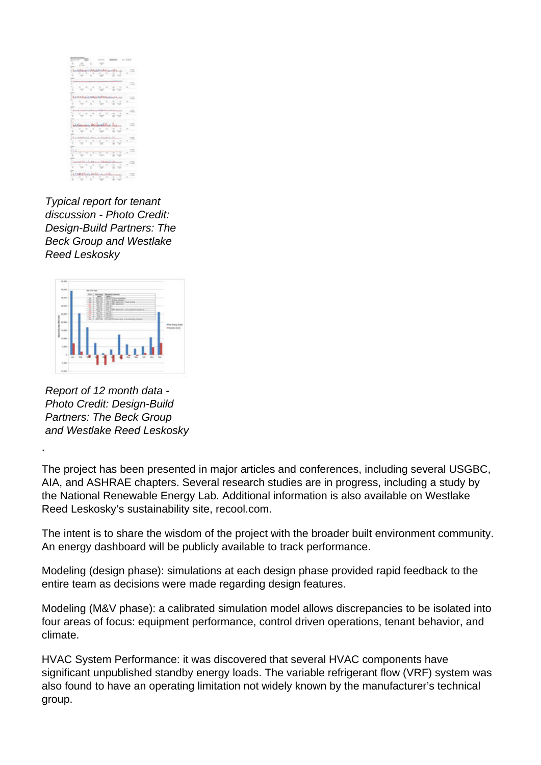|       |                 |                  |                                 |                               | 10<100 |
|-------|-----------------|------------------|---------------------------------|-------------------------------|--------|
|       |                 |                  |                                 |                               |        |
|       |                 |                  |                                 |                               |        |
|       | <b>ARRAIGHT</b> |                  | <b><i><u>AMALAMA AL</u></i></b> |                               |        |
|       |                 |                  |                                 |                               |        |
| Ş     |                 |                  |                                 |                               |        |
|       |                 |                  |                                 |                               |        |
|       |                 |                  | ċ                               |                               |        |
|       |                 |                  |                                 |                               |        |
| Tuus. |                 |                  | <b><i>ALLESSATION MALL</i></b>  |                               |        |
|       |                 |                  |                                 |                               |        |
|       |                 |                  |                                 |                               |        |
|       |                 |                  |                                 |                               |        |
|       |                 |                  |                                 |                               |        |
|       |                 |                  |                                 |                               |        |
|       |                 |                  |                                 |                               |        |
|       |                 |                  | كالسلسة ويستناه                 |                               |        |
|       | ×               |                  |                                 | r.<br>×                       |        |
|       |                 |                  |                                 |                               |        |
|       |                 |                  |                                 | ш                             |        |
|       |                 |                  |                                 | ø                             |        |
|       |                 |                  |                                 |                               |        |
| î     |                 |                  |                                 |                               |        |
|       |                 |                  | r                               | ٠                             |        |
|       |                 |                  |                                 |                               |        |
|       |                 |                  |                                 |                               |        |
|       |                 |                  |                                 | è                             |        |
|       |                 |                  |                                 |                               |        |
|       |                 | цű               | احتفت                           | $\frac{1}{2}$ , $\frac{1}{2}$ |        |
|       | ਠ               | <b>Septiment</b> | t.<br>h.                        |                               |        |
|       |                 |                  |                                 |                               |        |
|       |                 |                  |                                 |                               |        |

Typical report for tenant discussion - Photo Credit: Design-Build Partners: The Beck Group and Westlake Reed Leskosky



Report of 12 month data - Photo Credit: Design-Build Partners: The Beck Group and Westlake Reed Leskosky

.

The project has been presented in major articles and conferences, including several USGBC, AIA, and ASHRAE chapters. Several research studies are in progress, including a study by the National Renewable Energy Lab. Additional information is also available on Westlake Reed Leskosky's sustainability site, recool.com.

The intent is to share the wisdom of the project with the broader built environment community. An energy dashboard will be publicly available to track performance.

Modeling (design phase): simulations at each design phase provided rapid feedback to the entire team as decisions were made regarding design features.

Modeling (M&V phase): a calibrated simulation model allows discrepancies to be isolated into four areas of focus: equipment performance, control driven operations, tenant behavior, and climate.

HVAC System Performance: it was discovered that several HVAC components have significant unpublished standby energy loads. The variable refrigerant flow (VRF) system was also found to have an operating limitation not widely known by the manufacturer's technical group.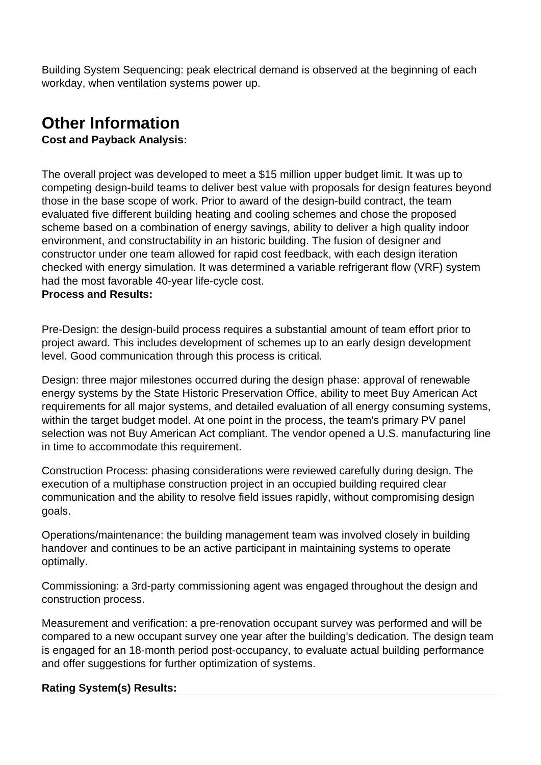Building System Sequencing: peak electrical demand is observed at the beginning of each workday, when ventilation systems power up.

# **Other Information**

**Cost and Payback Analysis:** 

The overall project was developed to meet a \$15 million upper budget limit. It was up to competing design-build teams to deliver best value with proposals for design features beyond those in the base scope of work. Prior to award of the design-build contract, the team evaluated five different building heating and cooling schemes and chose the proposed scheme based on a combination of energy savings, ability to deliver a high quality indoor environment, and constructability in an historic building. The fusion of designer and constructor under one team allowed for rapid cost feedback, with each design iteration checked with energy simulation. It was determined a variable refrigerant flow (VRF) system had the most favorable 40-year life-cycle cost.

#### **Process and Results:**

Pre-Design: the design-build process requires a substantial amount of team effort prior to project award. This includes development of schemes up to an early design development level. Good communication through this process is critical.

Design: three major milestones occurred during the design phase: approval of renewable energy systems by the State Historic Preservation Office, ability to meet Buy American Act requirements for all major systems, and detailed evaluation of all energy consuming systems, within the target budget model. At one point in the process, the team's primary PV panel selection was not Buy American Act compliant. The vendor opened a U.S. manufacturing line in time to accommodate this requirement.

Construction Process: phasing considerations were reviewed carefully during design. The execution of a multiphase construction project in an occupied building required clear communication and the ability to resolve field issues rapidly, without compromising design goals.

Operations/maintenance: the building management team was involved closely in building handover and continues to be an active participant in maintaining systems to operate optimally.

Commissioning: a 3rd-party commissioning agent was engaged throughout the design and construction process.

Measurement and verification: a pre-renovation occupant survey was performed and will be compared to a new occupant survey one year after the building's dedication. The design team is engaged for an 18-month period post-occupancy, to evaluate actual building performance and offer suggestions for further optimization of systems.

#### **Rating System(s) Results:**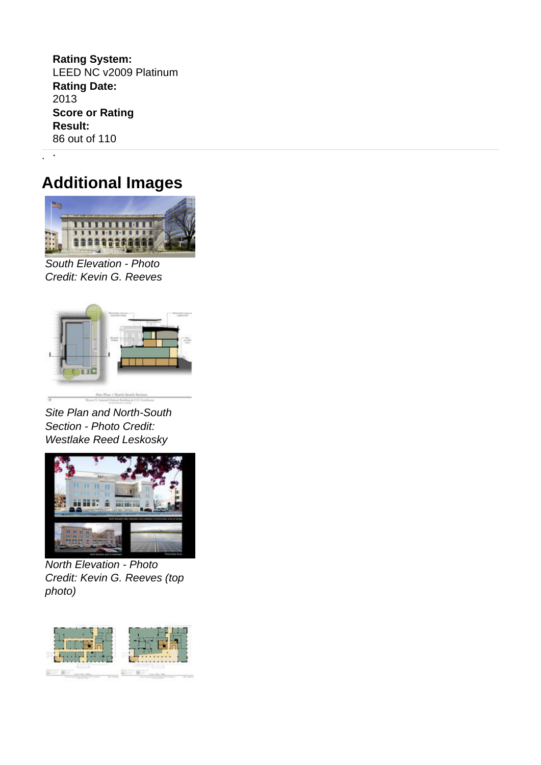**Rating System:**  LEED NC v2009 Platinum **Rating Date:**  2013 **Score or Rating Result:**  86 out of 110

### **Additional Images**

. .



South Elevation - Photo Credit: Kevin G. Reeves



Site Plan and North-South Section - Photo Credit: Westlake Reed Leskosky



North Elevation - Photo Credit: Kevin G. Reeves (top photo)

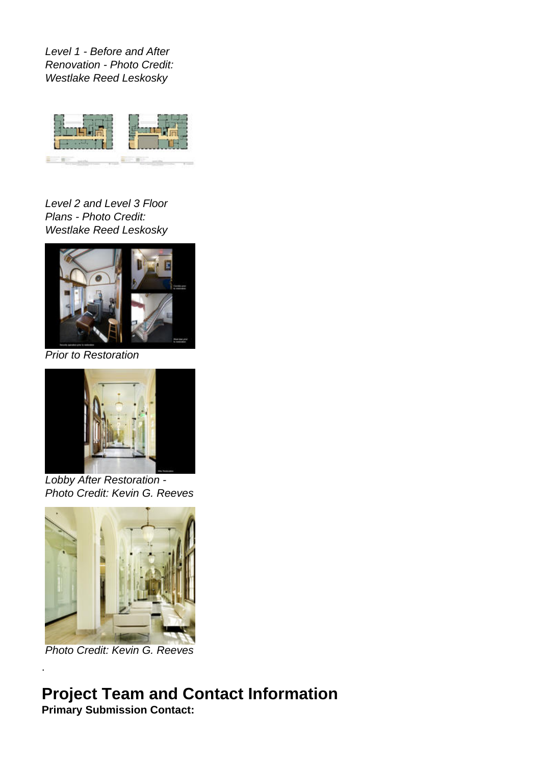Level 1 - Before and After Renovation - Photo Credit: Westlake Reed Leskosky



Level 2 and Level 3 Floor Plans - Photo Credit: Westlake Reed Leskosky



Prior to Restoration



Lobby After Restoration - Photo Credit: Kevin G. Reeves



Photo Credit: Kevin G. Reeves

.

# **Project Team and Contact Information**

**Primary Submission Contact:**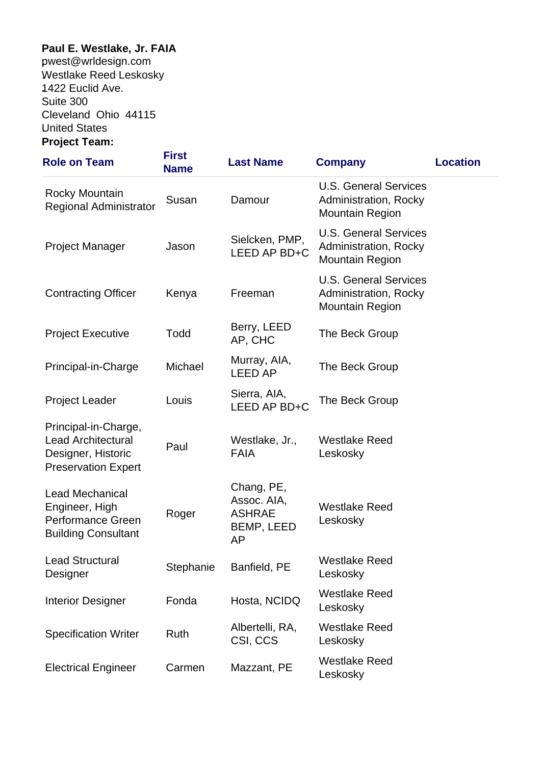#### **Paul E. Westlake, Jr. FAIA**

**.**pwest@wrldesign.com .Westlake Reed Leskosky **.**1422 Euclid Ave. Suite 300 Cleveland Ohio 44115 .United States **Project Team:** 

| <b>Role on Team</b>                                                                                   | <b>First</b><br><b>Name</b> | <b>Last Name</b>                                                      | <b>Company</b>                                                                  | <b>Location</b> |
|-------------------------------------------------------------------------------------------------------|-----------------------------|-----------------------------------------------------------------------|---------------------------------------------------------------------------------|-----------------|
| <b>Rocky Mountain</b><br><b>Regional Administrator</b>                                                | Susan                       | Damour                                                                | <b>U.S. General Services</b><br>Administration, Rocky<br><b>Mountain Region</b> |                 |
| <b>Project Manager</b>                                                                                | Jason                       | Sielcken, PMP,<br>LEED AP BD+C                                        | <b>U.S. General Services</b><br>Administration, Rocky<br><b>Mountain Region</b> |                 |
| <b>Contracting Officer</b>                                                                            | Kenya                       | Freeman                                                               | <b>U.S. General Services</b><br>Administration, Rocky<br><b>Mountain Region</b> |                 |
| <b>Project Executive</b>                                                                              | Todd                        | Berry, LEED<br>AP, CHC                                                | The Beck Group                                                                  |                 |
| Principal-in-Charge                                                                                   | Michael                     | Murray, AIA,<br><b>LEED AP</b>                                        | The Beck Group                                                                  |                 |
| <b>Project Leader</b>                                                                                 | Louis                       | Sierra, AIA,<br>LEED AP BD+C                                          | The Beck Group                                                                  |                 |
| Principal-in-Charge,<br><b>Lead Architectural</b><br>Designer, Historic<br><b>Preservation Expert</b> | Paul                        | Westlake, Jr.,<br><b>FAIA</b>                                         | <b>Westlake Reed</b><br>Leskosky                                                |                 |
| <b>Lead Mechanical</b><br>Engineer, High<br><b>Performance Green</b><br><b>Building Consultant</b>    | Roger                       | Chang, PE,<br>Assoc. AIA,<br><b>ASHRAE</b><br>BEMP, LEED<br><b>AP</b> | <b>Westlake Reed</b><br>Leskosky                                                |                 |
| <b>Lead Structural</b><br>Designer                                                                    | Stephanie                   | Banfield, PE                                                          | <b>Westlake Reed</b><br>Leskosky                                                |                 |
| <b>Interior Designer</b>                                                                              | Fonda                       | Hosta, NCIDQ                                                          | <b>Westlake Reed</b><br>Leskosky                                                |                 |
| <b>Specification Writer</b>                                                                           | Ruth                        | Albertelli, RA,<br>CSI, CCS                                           | <b>Westlake Reed</b><br>Leskosky                                                |                 |
| <b>Electrical Engineer</b>                                                                            | Carmen                      | Mazzant, PE                                                           | <b>Westlake Reed</b><br>Leskosky                                                |                 |